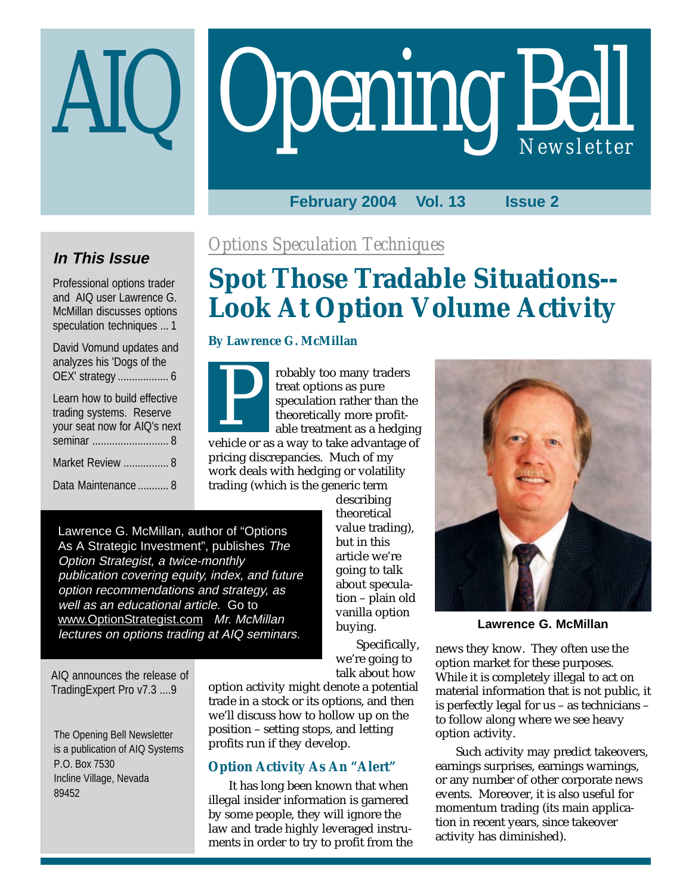# Opening Bell AIQ *Newsletter*

#### **February 2004 Vol. 13 Issue 2**

## **In This Issue**

Professional options trader and AIQ user Lawrence G. McMillan discusses options speculation techniques ... 1

| David Vomund updates and<br>analyzes his 'Dogs of the<br>OEX' strategy  6                              |
|--------------------------------------------------------------------------------------------------------|
| Learn how to build effective<br>trading systems. Reserve<br>your seat now for AIQ's next<br>seminar  8 |
| Market Review  8                                                                                       |
| Data Maintenance  8                                                                                    |

## *Options Speculation Techniques*

# **Spot Those Tradable Situations-- Look At Option Volume Activity**

#### **By Lawrence G. McMillan**

robably too many traders treat options as pure speculation rather than the theoretically more profitable treatment as a hedging Frolany too many traders<br>treat options as pure<br>speculation rather than the<br>theoretically more profit-<br>able treatment as a hedging<br>vehicle or as a way to take advantage of

pricing discrepancies. Much of my work deals with hedging or volatility trading (which is the generic term

> describing theoretical value trading), but in this article we're going to talk about speculation – plain old vanilla option buying.

Specifically, we're going to talk about how

Lawrence G. McMillan, author of "Options As A Strategic Investment", publishes The Option Strategist, a twice-monthly publication covering equity, index, and future option recommendations and strategy, as well as an educational article. Go to www.OptionStrategist.com Mr. McMillan lectures on options trading at AIQ seminars.

AIQ announces the release of TradingExpert Pro v7.3 ....9

The Opening Bell Newsletter is a publication of AIQ Systems P.O. Box 7530 Incline Village, Nevada 89452

option activity might denote a potential trade in a stock or its options, and then we'll discuss how to hollow up on the position – setting stops, and letting profits run if they develop.

#### **Option Activity As An "Alert"**

It has long been known that when illegal insider information is garnered by some people, they will ignore the law and trade highly leveraged instruments in order to try to profit from the



**Lawrence G. McMillan**

news they know. They often use the option market for these purposes. While it is completely illegal to act on material information that is not public, it is perfectly legal for us – as technicians – to follow along where we see heavy option activity.

Such activity may predict takeovers, earnings surprises, earnings warnings, or any number of other corporate news events. Moreover, it is also useful for momentum trading (its main application in recent years, since takeover activity has diminished).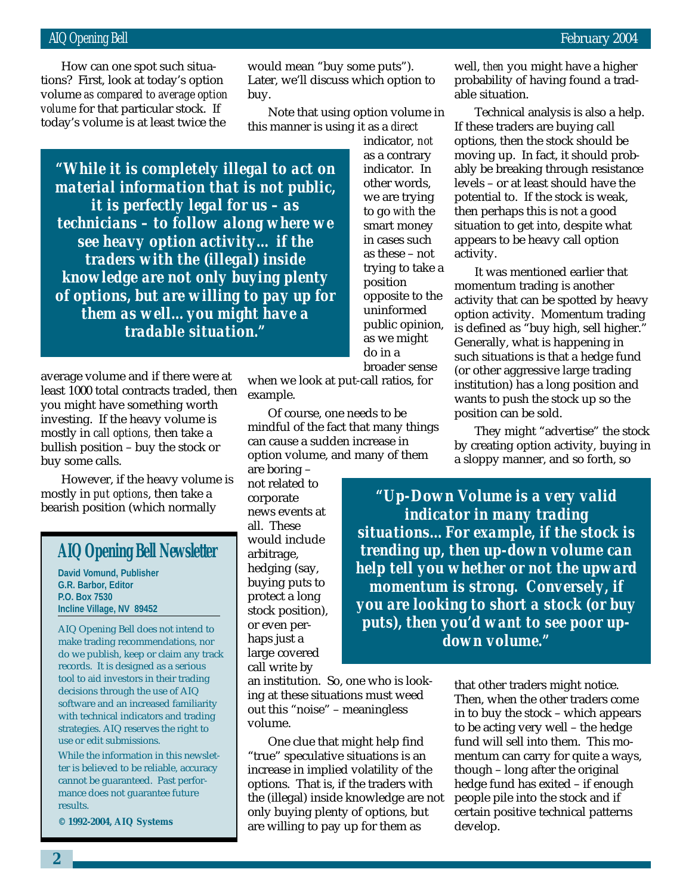*volume* for that particular stock. If How can one spot such situations? First, look at today's option volume *as compared to average option* today's volume is at least twice the

would mean "buy some puts"). Later, we'll discuss which option to buy.

Note that using option volume in this manner is using it as a *direct*

*"While it is completely illegal to act on material information that is not public, it is perfectly legal for us – as technicians – to follow along where we see heavy option activity… if the traders with the (illegal) inside knowledge are not only buying plenty of options, but are willing to pay up for them as well…you might have a tradable situation."*

average volume and if there were at least 1000 total contracts traded, then you might have something worth investing. If the heavy volume is mostly in *call options,* then take a bullish position – buy the stock or buy some calls.

However, if the heavy volume is mostly in *put options*, then take a bearish position (which normally

#### **AIQ Opening Bell Newsletter**

**David Vomund, Publisher G.R. Barbor, Editor P.O. Box 7530 Incline Village, NV 89452**

AIQ Opening Bell does not intend to make trading recommendations, nor do we publish, keep or claim any track records. It is designed as a serious tool to aid investors in their trading decisions through the use of AIQ software and an increased familiarity with technical indicators and trading strategies. AIQ reserves the right to use or edit submissions.

While the information in this newsletter is believed to be reliable, accuracy cannot be guaranteed. Past performance does not guarantee future results.

**© 1992-2004, AIQ Systems**

indicator, *not* as a contrary indicator. In other words, we are trying to go *with* the smart money in cases such as these – not

trying to take a position opposite to the uninformed public opinion, as we might do in a broader sense

when we look at put-call ratios, for example.

Of course, one needs to be mindful of the fact that many things can cause a sudden increase in option volume, and many of them

are boring – not related to corporate news events at all. These would include arbitrage, hedging (say, buying puts to protect a long stock position), or even perhaps just a large covered call write by

an institution. So, one who is looking at these situations must weed out this "noise" – meaningless volume.

One clue that might help find "true" speculative situations is an increase in implied volatility of the options. That is, if the traders with the (illegal) inside knowledge are not only buying plenty of options, but are willing to pay up for them as

well, *then* you might have a higher probability of having found a tradable situation.

Technical analysis is also a help. If these traders are buying call options, then the stock should be moving up. In fact, it should probably be breaking through resistance levels – or at least should have the potential to. If the stock is weak, then perhaps this is not a good situation to get into, despite what appears to be heavy call option activity.

It was mentioned earlier that momentum trading is another activity that can be spotted by heavy option activity. Momentum trading is defined as "buy high, sell higher." Generally, what is happening in such situations is that a hedge fund (or other aggressive large trading institution) has a long position and wants to push the stock up so the position can be sold.

They might "advertise" the stock by creating option activity, buying in a sloppy manner, and so forth, so

*"Up-Down Volume is a very valid indicator in many trading situations…For example, if the stock is trending up, then up-down volume can help tell you whether or not the upward momentum is strong. Conversely, if you are looking to short a stock (or buy puts), then you'd want to see poor updown volume."*

> that other traders might notice. Then, when the other traders come in to buy the stock – which appears to be acting very well – the hedge fund will sell into them. This momentum can carry for quite a ways, though – long after the original hedge fund has exited – if enough people pile into the stock and if certain positive technical patterns develop.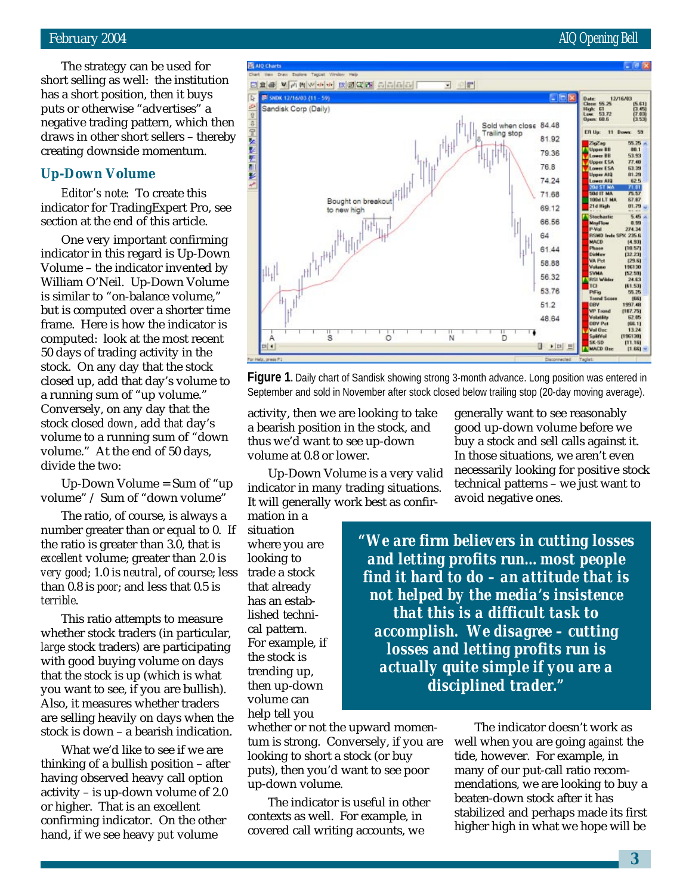#### February 2004 AIQ Opening Bell

The strategy can be used for short selling as well: the institution has a short position, then it buys puts or otherwise "advertises" a negative trading pattern, which then draws in other short sellers – thereby creating downside momentum.

#### **Up-Down Volume**

*Editor's note:* To create this indicator for TradingExpert Pro, see section at the end of this article.

One very important confirming indicator in this regard is Up-Down Volume – the indicator invented by William O'Neil. Up-Down Volume is similar to "on-balance volume," but is computed over a shorter time frame. Here is how the indicator is computed: look at the most recent 50 days of trading activity in the stock. On any day that the stock closed up, add that day's volume to a running sum of "up volume." Conversely, on any day that the stock closed *down*, add *that* day's volume to a running sum of "down volume." At the end of 50 days, divide the two:

Up-Down Volume = Sum of "up volume" / Sum of "down volume"

The ratio, of course, is always a number greater than or equal to 0. If the ratio is greater than 3.0, that is *excellent* volume; greater than 2.0 is *very good*; 1.0 is *neutral*, of course; less than 0.8 is *poor*; and less that 0.5 is *terrible*.

This ratio attempts to measure whether stock traders (in particular, *large* stock traders) are participating with good buying volume on days that the stock is up (which is what you want to see, if you are bullish). Also, it measures whether traders are selling heavily on days when the stock is down – a bearish indication.

What we'd like to see if we are thinking of a bullish position – after having observed heavy call option activity – is up-down volume of 2.0 or higher. That is an excellent confirming indicator. On the other hand, if we see heavy *put* volume



**Figure 1.** Daily chart of Sandisk showing strong 3-month advance. Long position was entered in September and sold in November after stock closed below trailing stop (20-day moving average).

activity, then we are looking to take a bearish position in the stock, and thus we'd want to see up-down volume at 0.8 or lower.

Up-Down Volume is a very valid indicator in many trading situations. It will generally work best as confir-

mation in a situation where you are looking to trade a stock that already has an established technical pattern. For example, if the stock is trending up, then up-down volume can help tell you

whether or not the upward momentum is strong. Conversely, if you are looking to short a stock (or buy puts), then you'd want to see poor up-down volume.

The indicator is useful in other contexts as well. For example, in covered call writing accounts, we

generally want to see reasonably good up-down volume before we buy a stock and sell calls against it. In those situations, we aren't even necessarily looking for positive stock technical patterns – we just want to avoid negative ones.

*"We are firm believers in cutting losses and letting profits run…most people find it hard to do – an attitude that is not helped by the media's insistence that this is a difficult task to accomplish. We disagree – cutting losses and letting profits run is actually quite simple if you are a disciplined trader."*

> The indicator doesn't work as well when you are going *against* the tide, however. For example, in many of our put-call ratio recommendations, we are looking to buy a beaten-down stock after it has stabilized and perhaps made its first higher high in what we hope will be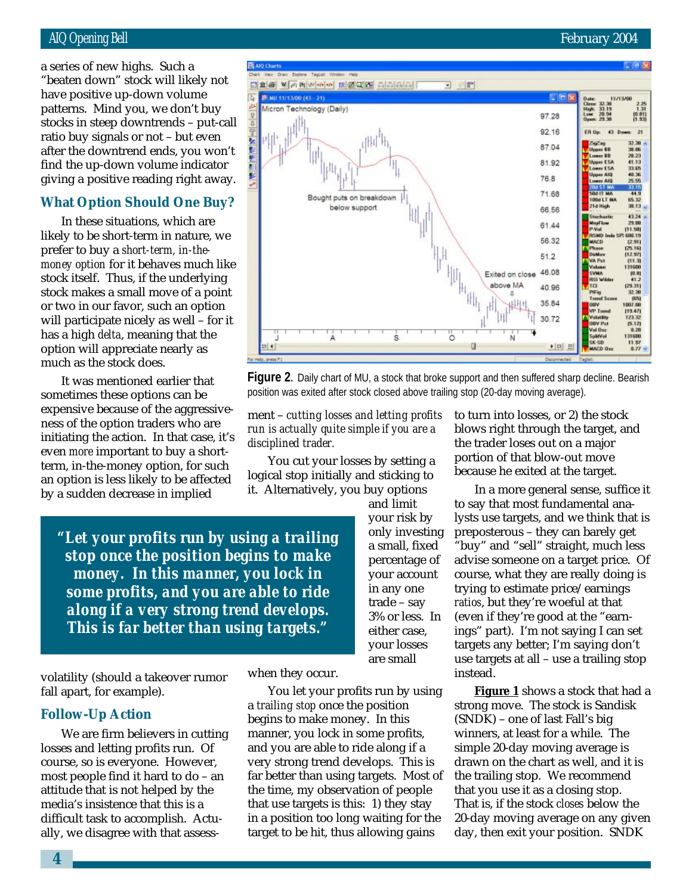#### AIQ Opening Bell February 2004

patterns. Mind you, we don't buy a series of new highs. Such a "beaten down" stock will likely not have positive up-down volume stocks in steep downtrends – put-call ratio buy signals or not – but even after the downtrend ends, you won't find the up-down volume indicator giving a positive reading right away.

#### **What Option Should One Buy?**

In these situations, which are likely to be short-term in nature, we prefer to buy a *short-term, in-themoney option* for it behaves much like stock itself. Thus, if the underlying stock makes a small move of a point or two in our favor, such an option will participate nicely as well – for it has a high *delta*, meaning that the option will appreciate nearly as much as the stock does.

It was mentioned earlier that sometimes these options can be expensive because of the aggressiveness of the option traders who are initiating the action. In that case, it's even *more* important to buy a shortterm, in-the-money option, for such an option is less likely to be affected by a sudden decrease in implied

*"Let your profits run by using a trailing stop once the position begins to make money. In this manner, you lock in some profits, and you are able to ride along if a very strong trend develops. This is far better than using targets."*

volatility (should a takeover rumor fall apart, for example).

#### **Follow-Up Action**

We are firm believers in cutting losses and letting profits run. Of course, so is everyone. However, most people find it hard to do – an attitude that is not helped by the media's insistence that this is a difficult task to accomplish. Actually, we disagree with that assesswhen they occur.

*disciplined trader.*

**ER AID Cha** 

You let your profits run by using a *trailing stop* once the position begins to make money. In this manner, you lock in some profits, and you are able to ride along if a very strong trend develops. This is far better than using targets. Most of the time, my observation of people that use targets is this: 1) they stay in a position too long waiting for the target to be hit, thus allowing gains

ment – *cutting losses and letting profits run is actually quite simple if you are a*

You cut your losses by setting a logical stop initially and sticking to it. Alternatively, you buy options

> and limit your risk by only investing a small, fixed percentage of your account in any one trade – say 3% or less. In either case, your losses are small

to turn into losses, or 2) the stock blows right through the target, and the trader loses out on a major portion of that blow-out move because he exited at the target.

In a more general sense, suffice it to say that most fundamental analysts use targets, and we think that is preposterous – they can barely get "buy" and "sell" straight, much less advise someone on a target price. Of course, what they are really doing is trying to estimate price/earnings *ratios*, but they're woeful at that (even if they're good at the "earnings" part). I'm not saying I can set targets any better; I'm saying don't use targets at all – use a trailing stop instead.

**Figure 1** shows a stock that had a strong move. The stock is Sandisk (SNDK) – one of last Fall's big winners, at least for a while. The simple 20-day moving average is drawn on the chart as well, and it is the trailing stop. We recommend that you use it as a closing stop. That is, if the stock *closes* below the 20-day moving average on any given day, then exit your position. SNDK

46.08  $\frac{10.01}{41.2}$ Exited on close  $\frac{29.31}{32.38}$ above MA 40.96 (45)<br>807.08 35.84  $[19.47]$ 30.72 lstät) 123.32  $\begin{array}{r} (5.12) \\ 0.28 \\ 131600 \end{array}$ IV P-1 of De ő À ś .<br>Ekst ū  $\blacktriangleright$  [m] **Figure 2.** Daily chart of MU, a stock that broke support and then suffered sharp decline. Bearish position was exited after stock closed above trailing stop (20-day moving average).



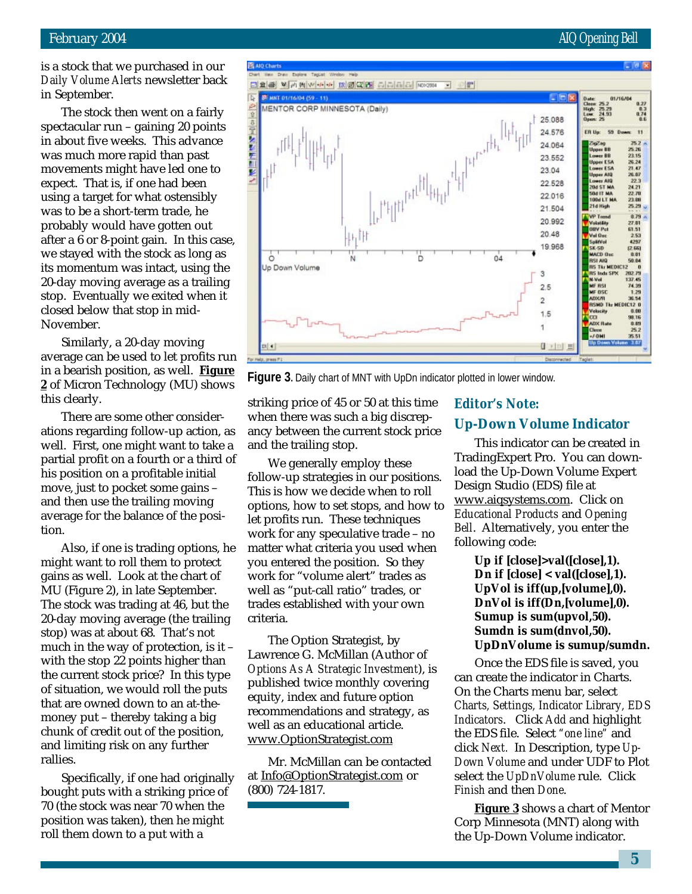is a stock that we purchased in our *Daily Volume Alerts* newsletter back in September.

**FR** AID Chart

В инт 01/16/04 (59 - 11)

**IR** 

p

The stock then went on a fairly spectacular run – gaining 20 points in about five weeks. This advance was much more rapid than past movements might have led one to expect. That is, if one had been using a target for what ostensibly was to be a short-term trade, he probably would have gotten out after a 6 or 8-point gain. In this case, we stayed with the stock as long as its momentum was intact, using the 20-day moving average as a trailing stop. Eventually we exited when it closed below that stop in mid-November.

Similarly, a 20-day moving average can be used to let profits run in a bearish position, as well. **Figure 2** of Micron Technology (MU) shows this clearly.

There are some other considerations regarding follow-up action, as well. First, one might want to take a partial profit on a fourth or a third of his position on a profitable initial move, just to pocket some gains – and then use the trailing moving average for the balance of the position.

Also, if one is trading options, he might want to roll them to protect gains as well. Look at the chart of MU (Figure 2), in late September. The stock was trading at 46, but the 20-day moving average (the trailing stop) was at about 68. That's not much in the way of protection, is it – with the stop 22 points higher than the current stock price? In this type of situation, we would roll the puts that are owned down to an at-themoney put – thereby taking a big chunk of credit out of the position, and limiting risk on any further rallies.

Specifically, if one had originally bought puts with a striking price of 70 (the stock was near 70 when the position was taken), then he might roll them down to a put with a





**Figure 3.** Daily chart of MNT with UpDn indicator plotted in lower window.

striking price of 45 or 50 at this time when there was such a big discrepancy between the current stock price and the trailing stop.

We generally employ these follow-up strategies in our positions. This is how we decide when to roll options, how to set stops, and how to let profits run. These techniques work for any speculative trade – no matter what criteria you used when you entered the position. So they work for "volume alert" trades as well as "put-call ratio" trades, or trades established with your own criteria.

The Option Strategist, by Lawrence G. McMillan (Author of *Options As A Strategic Investment*), is published twice monthly covering equity, index and future option recommendations and strategy, as well as an educational article. www.OptionStrategist.com

Mr. McMillan can be contacted at Info@OptionStrategist.com or (800) 724-1817.

#### *Editor's Note:* **Up-Down Volume Indicator**

This indicator can be created in TradingExpert Pro. You can download the Up-Down Volume Expert Design Studio (EDS) file at www.aiqsystems.com. Click on *Educational Products* and *Opening Bell*. Alternatively, you enter the following code:

> **Up if [close]>val([close],1). Dn if [close] < val([close],1). UpVol is iff(up,[volume],0). DnVol is iff(Dn,[volume],0). Sumup is sum(upvol,50). Sumdn is sum(dnvol,50). UpDnVolume is sumup/sumdn.**

Once the EDS file is saved, you can create the indicator in Charts. On the Charts menu bar, select *Charts, Settings, Indicator Library, EDS Indicators*. Click *Add* and highlight the EDS file. Select *"one line"* and click *Next.* In Description, type *Up-Down Volume* and under UDF to Plot select the *UpDnVolume* rule. Click *Finish* and then *Done*.

**Figure 3** shows a chart of Mentor Corp Minnesota (MNT) along with the Up-Down Volume indicator.

#### February 2004 **AIQ** Opening Bell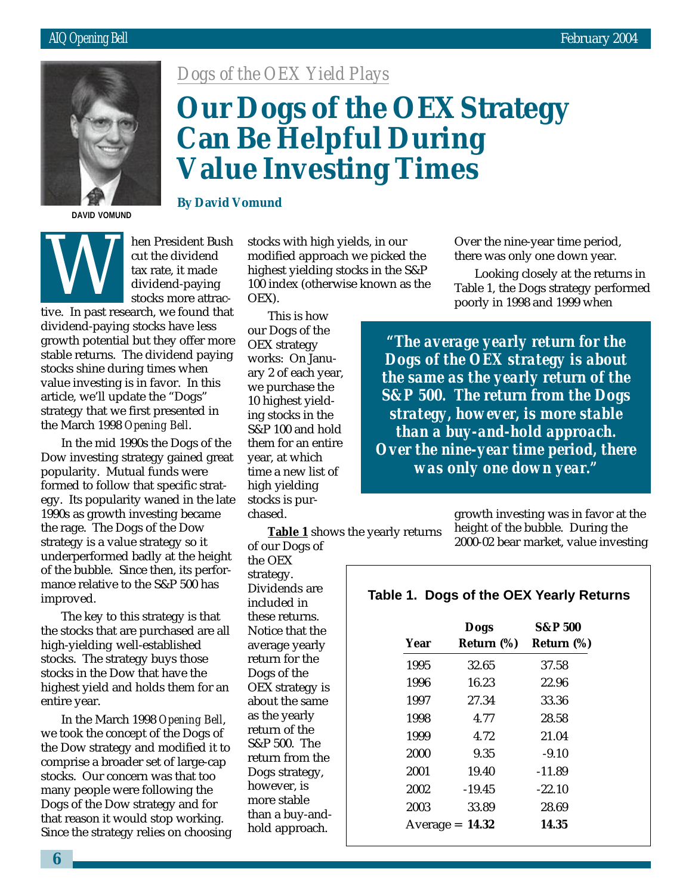

**DAVID VOMUND**

**Value Investing Times**

*Dogs of the OEX Yield Plays*

**By David Vomund**



hen President Bush cut the dividend tax rate, it made dividend-paying stocks more attracthe dividend<br>tax rate, it made<br>dividend-paying<br>stocks more attractive. In past research, we found that

dividend-paying stocks have less growth potential but they offer more stable returns. The dividend paying stocks shine during times when value investing is in favor. In this article, we'll update the "Dogs" strategy that we first presented in the March 1998 *Opening Bell*.

In the mid 1990s the Dogs of the Dow investing strategy gained great popularity. Mutual funds were formed to follow that specific strategy. Its popularity waned in the late 1990s as growth investing became the rage. The Dogs of the Dow strategy is a value strategy so it underperformed badly at the height of the bubble. Since then, its performance relative to the S&P 500 has improved.

The key to this strategy is that the stocks that are purchased are all high-yielding well-established stocks. The strategy buys those stocks in the Dow that have the highest yield and holds them for an entire year.

In the March 1998 *Opening Bell*, we took the concept of the Dogs of the Dow strategy and modified it to comprise a broader set of large-cap stocks. Our concern was that too many people were following the Dogs of the Dow strategy and for that reason it would stop working. Since the strategy relies on choosing

stocks with high yields, in our modified approach we picked the highest yielding stocks in the S&P 100 index (otherwise known as the OEX).

**Can Be Helpful During**

**Our Dogs of the OEX Strategy**

This is how our Dogs of the OEX strategy works: On January 2 of each year, we purchase the 10 highest yielding stocks in the S&P 100 and hold them for an entire year, at which time a new list of high yielding stocks is purchased.

**Table 1** shows the yearly returns of our Dogs of

the OEX strategy. Dividends are included in these returns. Notice that the average yearly return for the Dogs of the OEX strategy is about the same as the yearly return of the S&P 500. The return from the Dogs strategy, however, is more stable than a buy-andhold approach.

Over the nine-year time period, there was only one down year.

Looking closely at the returns in Table 1, the Dogs strategy performed poorly in 1998 and 1999 when

*"The average yearly return for the Dogs of the OEX strategy is about the same as the yearly return of the S&P 500. The return from the Dogs strategy, however, is more stable than a buy-and-hold approach. Over the nine-year time period, there was only one down year."*

> growth investing was in favor at the height of the bubble. During the 2000-02 bear market, value investing

#### **Table 1. Dogs of the OEX Yearly Returns**

| Year      | Dogs<br>Return (%) | <b>S&amp;P 500</b><br>Return (%) |
|-----------|--------------------|----------------------------------|
|           |                    |                                  |
| 1995      | 32.65              | 37.58                            |
| 1996      | 16.23              | 22.96                            |
| 1997      | 27.34              | 33.36                            |
| 1998      | 4.77               | 28.58                            |
| 1999      | 4.72               | 21.04                            |
| 2000      | 9.35               | $-9.10$                          |
| 2001      | 19.40              | $-11.89$                         |
| 2002      | $-19.45$           | $-22.10$                         |
| 2003      | 33.89              | 28.69                            |
| Average = | 14.32              | 14.35                            |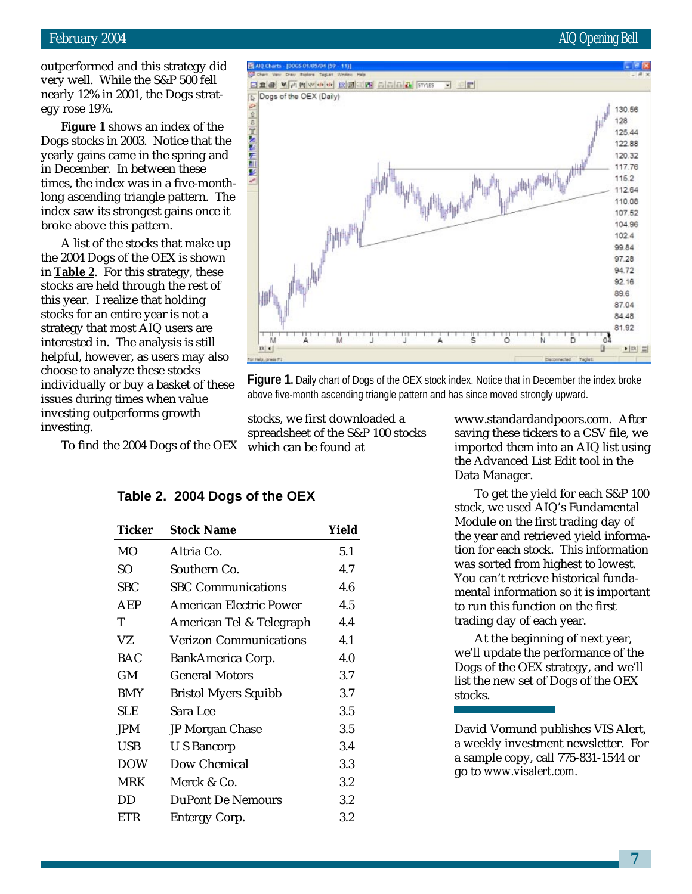#### February 2004 AIQ Opening Bell

outperformed and this strategy did very well. While the S&P 500 fell

Dogs stocks in 2003. Notice that the yearly gains came in the spring and in December. In between these times, the index was in a five-monthlong ascending triangle pattern. The index saw its strongest gains once it broke above this pattern.

A list of the stocks that make up the 2004 Dogs of the OEX is shown in **Table 2**. For this strategy, these stocks are held through the rest of this year. I realize that holding stocks for an entire year is not a strategy that most AIQ users are interested in. The analysis is still helpful, however, as users may also choose to analyze these stocks individually or buy issues during times investing outperform investing.

To find the 2004

|                                          | r buy a basket of these<br>times when value | <b>I Igule 1.</b> Daily chart of Dogs of the OLA.<br>above five-month ascending triangle patterr |  |  |  |
|------------------------------------------|---------------------------------------------|--------------------------------------------------------------------------------------------------|--|--|--|
| erforms growth<br>e 2004 Dogs of the OEX |                                             | stocks, we first downloaded a<br>spreadsheet of the S&P 100 stocks<br>which can be found at      |  |  |  |
|                                          | Table 2. 2004 Dogs of the OEX               |                                                                                                  |  |  |  |
| <b>Ticker</b>                            | <b>Stock Name</b>                           | Yield                                                                                            |  |  |  |
| <b>MO</b>                                | Altria Co.                                  | 5.1                                                                                              |  |  |  |
| SO.                                      | Southern Co.                                | 4.7                                                                                              |  |  |  |
|                                          |                                             |                                                                                                  |  |  |  |

SO Southern Co. 4.7 SBC SBC Communications 4.6 AEP American Electric Power 4.5 T American Tel & Telegraph 4.4 VZ Verizon Communications 4.1 BAC BankAmerica Corp. 4.0 GM General Motors 3.7 BMY Bristol Myers Squibb 3.7 SLE Sara Lee 3.5 JPM JP Morgan Chase 3.5 USB U S Bancorp 3.4 DOW Dow Chemical 3.3 MRK Merck & Co. 3.2 DD DuPont De Nemours 3.2 ETR Entergy Corp. 3.2

#### www.standardandpoors.com. After saving these tickers to a CSV file, we imported them into an AIQ list using the Advanced List Edit tool in the Data Manager.

To get the yield for each S&P 100 stock, we used AIQ's Fundamental Module on the first trading day of the year and retrieved yield information for each stock. This information was sorted from highest to lowest. You can't retrieve historical fundamental information so it is important to run this function on the first trading day of each year.

At the beginning of next year, we'll update the performance of the Dogs of the OEX strategy, and we'll list the new set of Dogs of the OEX stocks.

David Vomund publishes VIS Alert, a weekly investment newsletter. For a sample copy, call 775-831-1544 or go to *www.visalert.com.*

**Figure 1.** Daily chart of Dogs of the OEX stock index. Notice that in December the index broke ttern and has since moved strongly upward.

nearly 12% in 2001, the Dogs strategy rose 19%. **Figure 1** shows an index of the



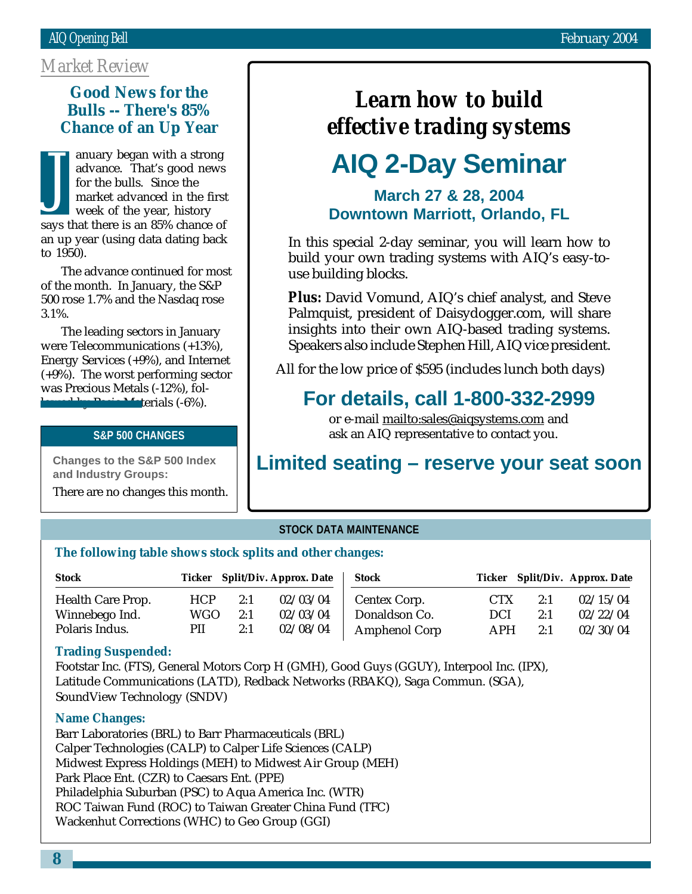#### *Market Review*

#### **Bulls -- There's 85% Good News for the Chance of an Up Year**

anuary began with a strong advance. That's good news for the bulls. Since the market advanced in the first week of the year, history says that there is an 85% chance of an up year (using data dating back to 1950). J

The advance continued for most of the month. In January, the S&P 500 rose 1.7% and the Nasdaq rose 3.1%.

The leading sectors in January were Telecommunications (+13%), Energy Services (+9%), and Internet (+9%). The worst performing sector was Precious Metals (-12%), fol- $\blacksquare$  Basic Materials (-6%).

#### **S&P 500 CHANGES**

**Changes to the S&P 500 Index and Industry Groups:**

There are no changes this month.

## *Learn how to build effective trading systems*

# **AIQ 2-Day Seminar**

#### **March 27 & 28, 2004 Downtown Marriott, Orlando, FL**

In this special 2-day seminar, you will learn how to build your own trading systems with AIQ's easy-touse building blocks.

*Plus:* David Vomund, AIQ's chief analyst, and Steve Palmquist, president of Daisydogger.com, will share insights into their own AIQ-based trading systems. Speakers also include Stephen Hill, AIQ vice president.

All for the low price of \$595 (includes lunch both days)

## **For details, call 1-800-332-2999**

or e-mail mailto:sales@aiqsystems.com and ask an AIQ representative to contact you.

## **Limited seating – reserve your seat soon**

#### **STOCK DATA MAINTENANCE**

#### **The following table shows stock splits and other changes:**

| <b>Stock</b>             |            |     | Ticker Split/Div. Approx. Date | <b>Stock</b>         |            |     | Ticker Split/Div. Approx. Date |
|--------------------------|------------|-----|--------------------------------|----------------------|------------|-----|--------------------------------|
| <b>Health Care Prop.</b> | <b>HCP</b> | 2:1 | 02/03/04                       | Centex Corp.         | <b>CTX</b> | 2:1 | 02/15/04                       |
| Winnebego Ind.           | WGO.       | 2:1 | 02/03/04                       | Donaldson Co.        | DCI        | 2:1 | 02/22/04                       |
| Polaris Indus.           | PII        | 2:1 | 02/08/04                       | <b>Amphenol Corp</b> | <b>APH</b> | 2:1 | 02/30/04                       |

#### **Trading Suspended:**

Footstar Inc. (FTS), General Motors Corp H (GMH), Good Guys (GGUY), Interpool Inc. (IPX), Latitude Communications (LATD), Redback Networks (RBAKQ), Saga Commun. (SGA), SoundView Technology (SNDV)

#### **Name Changes:**

Barr Laboratories (BRL) to Barr Pharmaceuticals (BRL) Calper Technologies (CALP) to Calper Life Sciences (CALP) Midwest Express Holdings (MEH) to Midwest Air Group (MEH) Park Place Ent. (CZR) to Caesars Ent. (PPE) Philadelphia Suburban (PSC) to Aqua America Inc. (WTR) ROC Taiwan Fund (ROC) to Taiwan Greater China Fund (TFC) Wackenhut Corrections (WHC) to Geo Group (GGI)